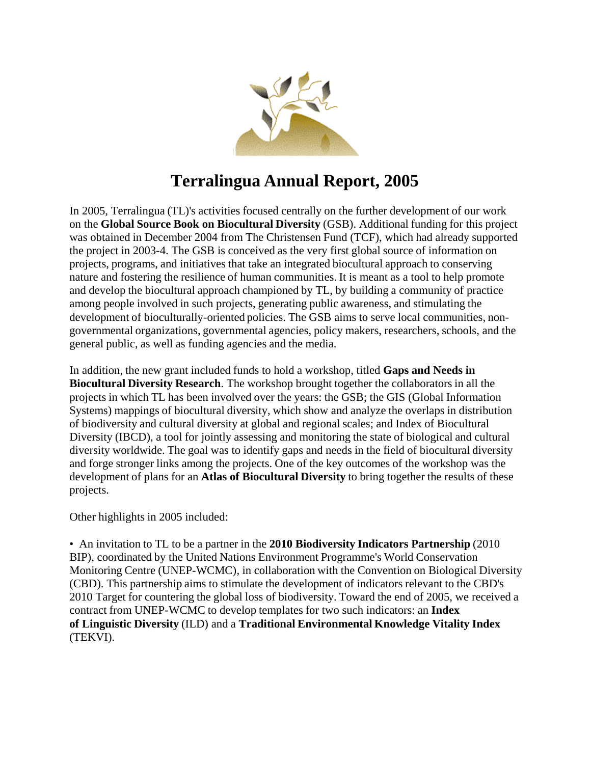

# **Terralingua Annual Report, 2005**

In 2005, Terralingua (TL)'s activities focused centrally on the further development of our work on the **Global Source Book on Biocultural Diversity** (GSB). Additional funding for this project was obtained in December 2004 from The Christensen Fund (TCF), which had already supported the project in 2003-4. The GSB is conceived as the very first global source of information on projects, programs, and initiatives that take an integrated biocultural approach to conserving nature and fostering the resilience of human communities. It is meant as a tool to help promote and develop the biocultural approach championed by TL, by building a community of practice among people involved in such projects, generating public awareness, and stimulating the development of bioculturally-oriented policies. The GSB aims to serve local communities, nongovernmental organizations, governmental agencies, policy makers, researchers, schools, and the general public, as well as funding agencies and the media.

In addition, the new grant included funds to hold a workshop, titled **Gaps and Needs in Biocultural Diversity Research**. The workshop brought together the collaborators in all the projects in which TL has been involved over the years: the GSB; the GIS (Global Information Systems) mappings of biocultural diversity, which show and analyze the overlaps in distribution of biodiversity and cultural diversity at global and regional scales; and Index of Biocultural Diversity (IBCD), a tool for jointly assessing and monitoring the state of biological and cultural diversity worldwide. The goal was to identify gaps and needs in the field of biocultural diversity and forge stronger links among the projects. One of the key outcomes of the workshop was the development of plans for an **Atlas of Biocultural Diversity** to bring together the results of these projects.

Other highlights in 2005 included:

• An invitation to TL to be a partner in the **2010 Biodiversity Indicators Partnership** (2010 BIP), coordinated by the United Nations Environment Programme's World Conservation Monitoring Centre (UNEP-WCMC), in collaboration with the Convention on Biological Diversity (CBD). This partnership aims to stimulate the development of indicators relevant to the CBD's 2010 Target for countering the global loss of biodiversity. Toward the end of 2005, we received a contract from UNEP-WCMC to develop templates for two such indicators: an **Index of Linguistic Diversity** (ILD) and a **Traditional Environmental Knowledge Vitality Index** (TEKVI).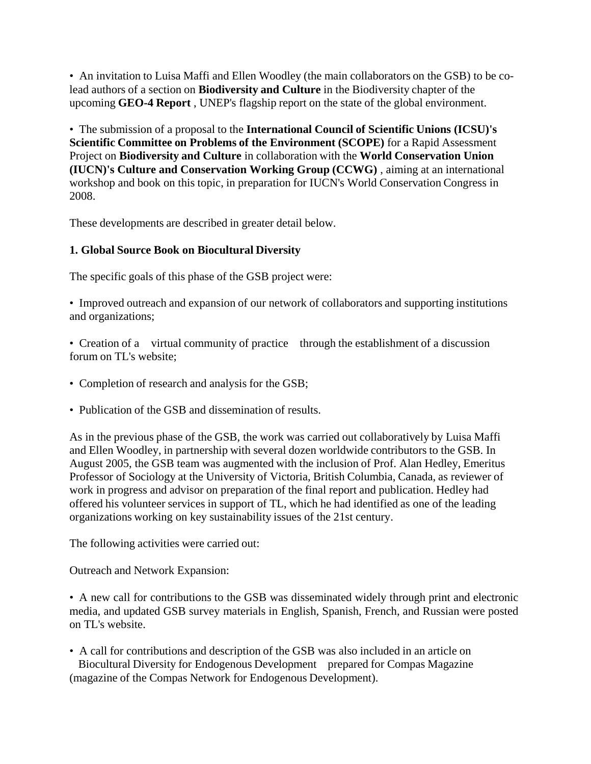• An invitation to Luisa Maffi and Ellen Woodley (the main collaborators on the GSB) to be colead authors of a section on **Biodiversity and Culture** in the Biodiversity chapter of the upcoming **GEO-4 Report** , UNEP's flagship report on the state of the global environment.

• The submission of a proposal to the **International Council of Scientific Unions (ICSU)'s Scientific Committee on Problems of the Environment (SCOPE)** for a Rapid Assessment Project on **Biodiversity and Culture** in collaboration with the **World Conservation Union (IUCN)'s Culture and Conservation Working Group (CCWG)** , aiming at an international workshop and book on this topic, in preparation for IUCN's World Conservation Congress in 2008.

These developments are described in greater detail below.

#### **1. Global Source Book on Biocultural Diversity**

The specific goals of this phase of the GSB project were:

• Improved outreach and expansion of our network of collaborators and supporting institutions and organizations;

• Creation of a virtual community of practice through the establishment of a discussion forum on TL's website;

- Completion of research and analysis for the GSB;
- Publication of the GSB and dissemination of results.

As in the previous phase of the GSB, the work was carried out collaboratively by Luisa Maffi and Ellen Woodley, in partnership with several dozen worldwide contributors to the GSB. In August 2005, the GSB team was augmented with the inclusion of Prof. Alan Hedley, Emeritus Professor of Sociology at the University of Victoria, British Columbia, Canada, as reviewer of work in progress and advisor on preparation of the final report and publication. Hedley had offered his volunteer services in support of TL, which he had identified as one of the leading organizations working on key sustainability issues of the 21st century.

The following activities were carried out:

Outreach and Network Expansion:

• A new call for contributions to the GSB was disseminated widely through print and electronic media, and updated GSB survey materials in English, Spanish, French, and Russian were posted on TL's website.

• A call for contributions and description of the GSB was also included in an article on Biocultural Diversity for Endogenous Development prepared for Compas Magazine (magazine of the Compas Network for Endogenous Development).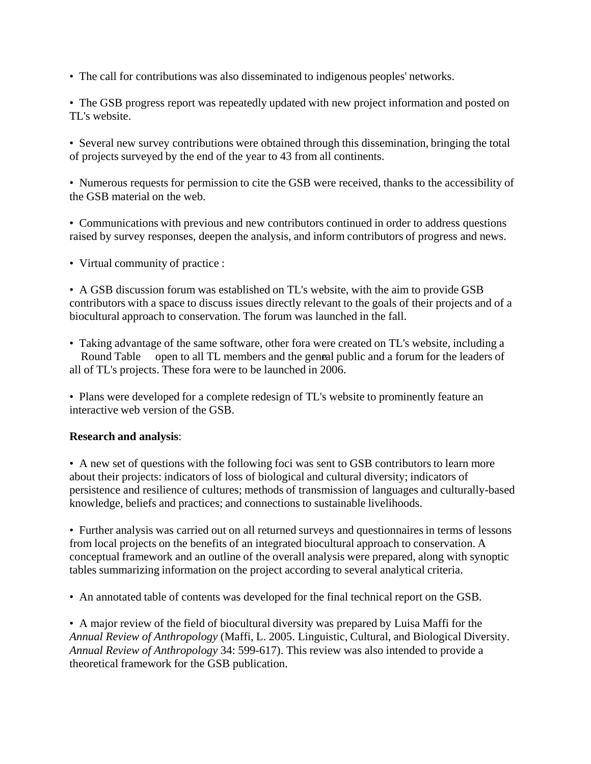• The call for contributions was also disseminated to indigenous peoples' networks.

• The GSB progress report was repeatedly updated with new project information and posted on TL's website.

• Several new survey contributions were obtained through this dissemination, bringing the total of projects surveyed by the end of the year to 43 from all continents.

• Numerous requests for permission to cite the GSB were received, thanks to the accessibility of the GSB material on the web.

• Communications with previous and new contributors continued in order to address questions raised by survey responses, deepen the analysis, and inform contributors of progress and news.

• Virtual community of practice :

• A GSB discussion forum was established on TL's website, with the aim to provide GSB contributors with a space to discuss issues directly relevant to the goals of their projects and of a biocultural approach to conservation. The forum was launched in the fall.

• Taking advantage of the same software, other fora were created on TL's website, including a Round Table open to all TL members and the general public and a forum for the leaders of all of TL's projects. These fora were to be launched in 2006.

• Plans were developed for a complete redesign of TL's website to prominently feature an interactive web version of the GSB.

#### **Research and analysis**:

• A new set of questions with the following foci was sent to GSB contributors to learn more about their projects: indicators of loss of biological and cultural diversity; indicators of persistence and resilience of cultures; methods of transmission of languages and culturally-based knowledge, beliefs and practices; and connections to sustainable livelihoods.

• Further analysis was carried out on all returned surveys and questionnaires in terms of lessons from local projects on the benefits of an integrated biocultural approach to conservation. A conceptual framework and an outline of the overall analysis were prepared, along with synoptic tables summarizing information on the project according to several analytical criteria.

• An annotated table of contents was developed for the final technical report on the GSB.

• A major review of the field of biocultural diversity was prepared by Luisa Maffi for the *Annual Review of Anthropology* (Maffi, L. 2005. Linguistic, Cultural, and Biological Diversity. *Annual Review of Anthropology* 34: 599-617). This review was also intended to provide a theoretical framework for the GSB publication.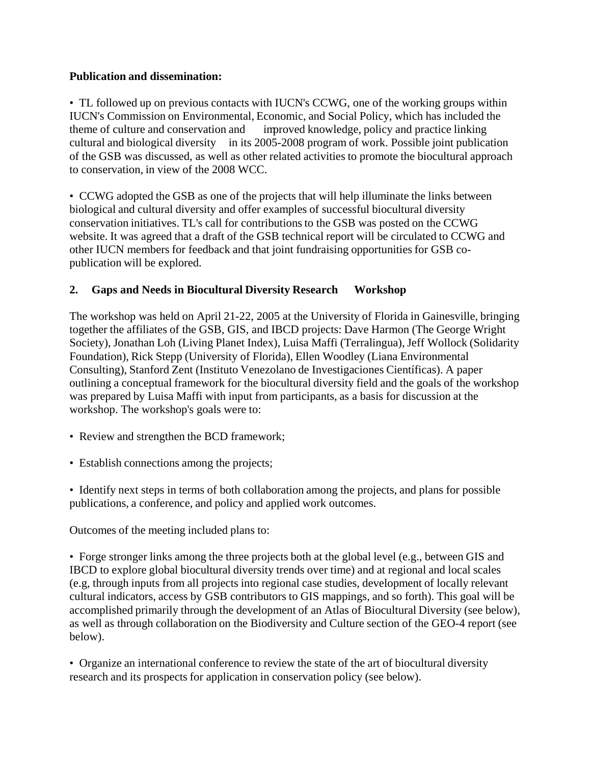#### **Publication and dissemination:**

• TL followed up on previous contacts with IUCN's CCWG, one of the working groups within IUCN's Commission on Environmental, Economic, and Social Policy, which has included the theme of culture and conservation and improved knowledge, policy and practice linking cultural and biological diversity in its 2005-2008 program of work. Possible joint publication of the GSB was discussed, as well as other related activities to promote the biocultural approach to conservation, in view of the 2008 WCC.

• CCWG adopted the GSB as one of the projects that will help illuminate the links between biological and cultural diversity and offer examples of successful biocultural diversity conservation initiatives. TL's call for contributions to the GSB was posted on the CCWG website. It was agreed that a draft of the GSB technical report will be circulated to CCWG and other IUCN members for feedback and that joint fundraising opportunities for GSB copublication will be explored.

### **2. Gaps and Needs in Biocultural Diversity Research Workshop**

The workshop was held on April 21-22, 2005 at the University of Florida in Gainesville, bringing together the affiliates of the GSB, GIS, and IBCD projects: Dave Harmon (The George Wright Society), Jonathan Loh (Living Planet Index), Luisa Maffi (Terralingua), Jeff Wollock (Solidarity Foundation), Rick Stepp (University of Florida), Ellen Woodley (Liana Environmental Consulting), Stanford Zent (Instituto Venezolano de Investigaciones Científicas). A paper outlining a conceptual framework for the biocultural diversity field and the goals of the workshop was prepared by Luisa Maffi with input from participants, as a basis for discussion at the workshop. The workshop's goals were to:

- Review and strengthen the BCD framework;
- Establish connections among the projects;
- Identify next steps in terms of both collaboration among the projects, and plans for possible publications, a conference, and policy and applied work outcomes.

Outcomes of the meeting included plans to:

• Forge stronger links among the three projects both at the global level (e.g., between GIS and IBCD to explore global biocultural diversity trends over time) and at regional and local scales (e.g, through inputs from all projects into regional case studies, development of locally relevant cultural indicators, access by GSB contributors to GIS mappings, and so forth). This goal will be accomplished primarily through the development of an Atlas of Biocultural Diversity (see below), as well as through collaboration on the Biodiversity and Culture section of the GEO-4 report (see below).

• Organize an international conference to review the state of the art of biocultural diversity research and its prospects for application in conservation policy (see below).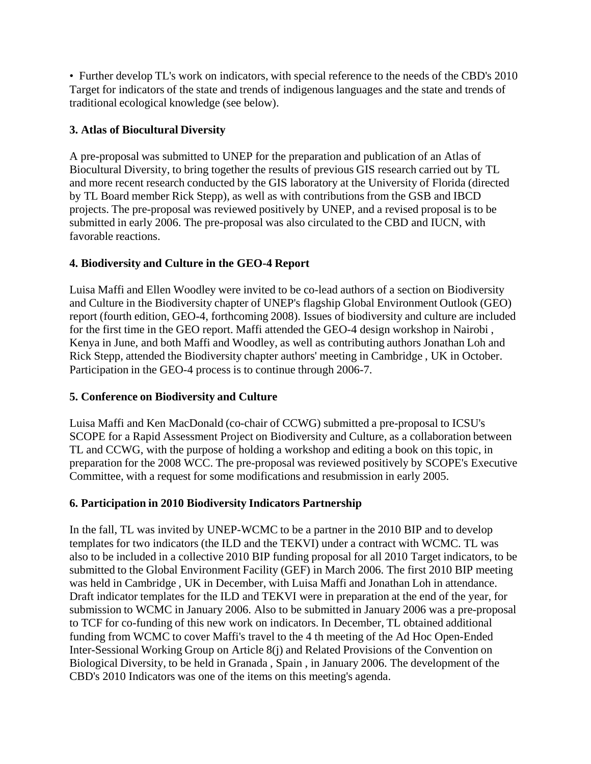• Further develop TL's work on indicators, with special reference to the needs of the CBD's 2010 Target for indicators of the state and trends of indigenous languages and the state and trends of traditional ecological knowledge (see below).

# **3. Atlas of Biocultural Diversity**

A pre-proposal was submitted to UNEP for the preparation and publication of an Atlas of Biocultural Diversity, to bring together the results of previous GIS research carried out by TL and more recent research conducted by the GIS laboratory at the University of Florida (directed by TL Board member Rick Stepp), as well as with contributions from the GSB and IBCD projects. The pre-proposal was reviewed positively by UNEP, and a revised proposal is to be submitted in early 2006. The pre-proposal was also circulated to the CBD and IUCN, with favorable reactions.

### **4. Biodiversity and Culture in the GEO-4 Report**

Luisa Maffi and Ellen Woodley were invited to be co-lead authors of a section on Biodiversity and Culture in the Biodiversity chapter of UNEP's flagship Global Environment Outlook (GEO) report (fourth edition, GEO-4, forthcoming 2008). Issues of biodiversity and culture are included for the first time in the GEO report. Maffi attended the GEO-4 design workshop in Nairobi , Kenya in June, and both Maffi and Woodley, as well as contributing authors Jonathan Loh and Rick Stepp, attended the Biodiversity chapter authors' meeting in Cambridge , UK in October. Participation in the GEO-4 process is to continue through 2006-7.

# **5. Conference on Biodiversity and Culture**

Luisa Maffi and Ken MacDonald (co-chair of CCWG) submitted a pre-proposal to ICSU's SCOPE for a Rapid Assessment Project on Biodiversity and Culture, as a collaboration between TL and CCWG, with the purpose of holding a workshop and editing a book on this topic, in preparation for the 2008 WCC. The pre-proposal was reviewed positively by SCOPE's Executive Committee, with a request for some modifications and resubmission in early 2005.

# **6. Participation in 2010 Biodiversity Indicators Partnership**

In the fall, TL was invited by UNEP-WCMC to be a partner in the 2010 BIP and to develop templates for two indicators (the ILD and the TEKVI) under a contract with WCMC. TL was also to be included in a collective 2010 BIP funding proposal for all 2010 Target indicators, to be submitted to the Global Environment Facility (GEF) in March 2006. The first 2010 BIP meeting was held in Cambridge , UK in December, with Luisa Maffi and Jonathan Loh in attendance. Draft indicator templates for the ILD and TEKVI were in preparation at the end of the year, for submission to WCMC in January 2006. Also to be submitted in January 2006 was a pre-proposal to TCF for co-funding of this new work on indicators. In December, TL obtained additional funding from WCMC to cover Maffi's travel to the 4 th meeting of the Ad Hoc Open-Ended Inter-Sessional Working Group on Article 8(j) and Related Provisions of the Convention on Biological Diversity, to be held in Granada , Spain , in January 2006. The development of the CBD's 2010 Indicators was one of the items on this meeting's agenda.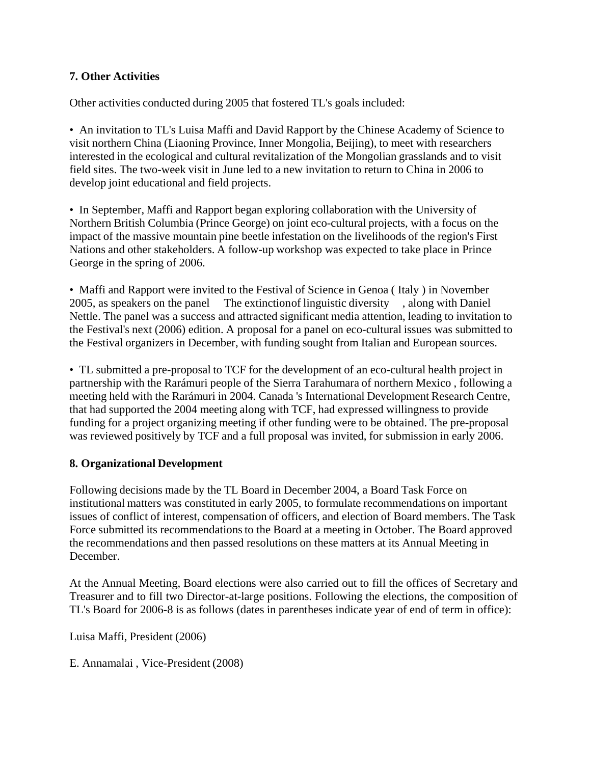### **7. Other Activities**

Other activities conducted during 2005 that fostered TL's goals included:

• An invitation to TL's Luisa Maffi and David Rapport by the Chinese Academy of Science to visit northern China (Liaoning Province, Inner Mongolia, Beijing), to meet with researchers interested in the ecological and cultural revitalization of the Mongolian grasslands and to visit field sites. The two-week visit in June led to a new invitation to return to China in 2006 to develop joint educational and field projects.

• In September, Maffi and Rapport began exploring collaboration with the University of Northern British Columbia (Prince George) on joint eco-cultural projects, with a focus on the impact of the massive mountain pine beetle infestation on the livelihoods of the region's First Nations and other stakeholders. A follow-up workshop was expected to take place in Prince George in the spring of 2006.

• Maffi and Rapport were invited to the Festival of Science in Genoa (Italy) in November 2005, as speakers on the panel The extinctionof linguistic diversity , along with Daniel Nettle. The panel was a success and attracted significant media attention, leading to invitation to the Festival's next (2006) edition. A proposal for a panel on eco-cultural issues was submitted to the Festival organizers in December, with funding sought from Italian and European sources.

• TL submitted a pre-proposal to TCF for the development of an eco-cultural health project in partnership with the Rarámuri people of the Sierra Tarahumara of northern Mexico , following a meeting held with the Rarámuri in 2004. Canada 's International Development Research Centre, that had supported the 2004 meeting along with TCF, had expressed willingness to provide funding for a project organizing meeting if other funding were to be obtained. The pre-proposal was reviewed positively by TCF and a full proposal was invited, for submission in early 2006.

#### **8. Organizational Development**

Following decisions made by the TL Board in December 2004, a Board Task Force on institutional matters was constituted in early 2005, to formulate recommendations on important issues of conflict of interest, compensation of officers, and election of Board members. The Task Force submitted its recommendations to the Board at a meeting in October. The Board approved the recommendations and then passed resolutions on these matters at its Annual Meeting in December.

At the Annual Meeting, Board elections were also carried out to fill the offices of Secretary and Treasurer and to fill two Director-at-large positions. Following the elections, the composition of TL's Board for 2006-8 is as follows (dates in parentheses indicate year of end of term in office):

Luisa Maffi, President (2006)

E. Annamalai , Vice-President (2008)